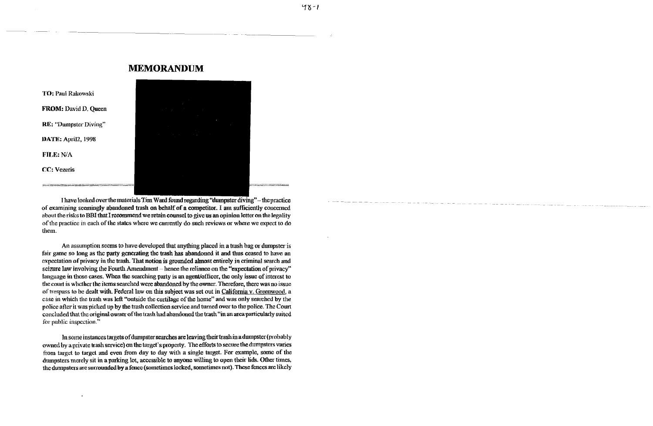## **MEMORANDUM**



 $48 - 1$ 

TO: Paul Rakowski FROM: David D. Queen RE: "Dumpster Diving" DATE: April2, 1998 FILE: N/A CC: Vezeris

I have looked over the materials Tim Ward found regarding "dumpster diving" - the practice of examining seemingly abandoned trash on behalf of a competitor. I am sufficiently concerned about the risks to BBI that I recommend we retain counsel to give us an opinion letter on the legality of the practice in each of the states where we currently do such reviews or where we expect to do them.

An assumption seems to have developed that anything placed in a trash bag or dumpster is fair game so long as the party generating the trash has abandoned it and thus ceased to have an expectation of privacy in the trash. That notion is grounded almost entirely in criminal search and seizure law involving the Fourth Amendment – hence the reliance on the "expectation of privacy" language in those cases. When the searching party is an agent/officer, the only issue of interest to the court is whether the items searched were abandoned by the owner. Therefore, there was no issue of trespass to be dealt with. Federal law on this subject was set out in California v. Greenwood, a case in which the trash was left "outside the curtilage of the home" and was only searched by the police afterit was picked up by the trash collection service and turned over to the police. The Court concluded that the original owner of the trash had abandoned the trash "in an area particularly suited for public inspection."

In some instances targets of dumpster searches are leaving their trash in a dumpster (probably owned by a private trash service) on the target's property. The efforts to secure the dumpsters varies from target to target and even from day to day with a single target. For example, some of the dumpsters merely sit in a parking lot, accessible to anyone willing to open their lids. Other times. the dumpsters are surrounded by a fence (sometimes locked, sometimes not). These fences are likely